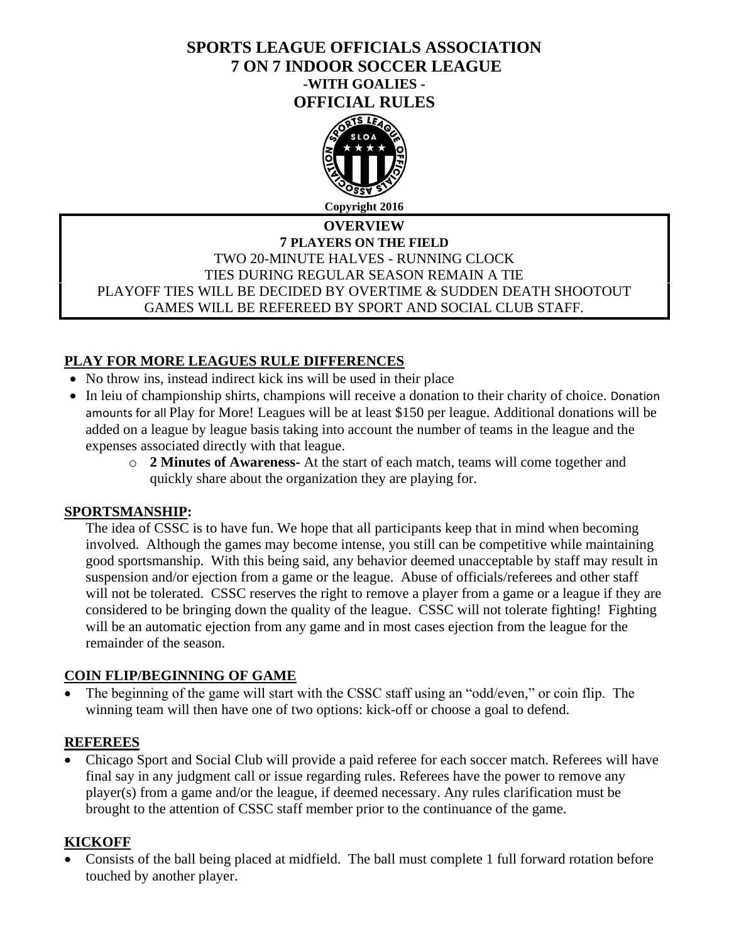# **SPORTS LEAGUE OFFICIALS ASSOCIATION 7 ON 7 INDOOR SOCCER LEAGUE -WITH GOALIES - OFFICIAL RULES**



# **OVERVIEW 7 PLAYERS ON THE FIELD** TWO 20-MINUTE HALVES - RUNNING CLOCK TIES DURING REGULAR SEASON REMAIN A TIE PLAYOFF TIES WILL BE DECIDED BY OVERTIME & SUDDEN DEATH SHOOTOUT GAMES WILL BE REFEREED BY SPORT AND SOCIAL CLUB STAFF.

# **PLAY FOR MORE LEAGUES RULE DIFFERENCES**

- No throw ins, instead indirect kick ins will be used in their place
- In leiu of championship shirts, champions will receive a donation to their charity of choice. Donation amounts for all Play for More! Leagues will be at least \$150 per league. Additional donations will be added on a league by league basis taking into account the number of teams in the league and the expenses associated directly with that league.
	- o **2 Minutes of Awareness-** At the start of each match, teams will come together and quickly share about the organization they are playing for.

### **SPORTSMANSHIP:**

The idea of CSSC is to have fun. We hope that all participants keep that in mind when becoming involved. Although the games may become intense, you still can be competitive while maintaining good sportsmanship. With this being said, any behavior deemed unacceptable by staff may result in suspension and/or ejection from a game or the league. Abuse of officials/referees and other staff will not be tolerated. CSSC reserves the right to remove a player from a game or a league if they are considered to be bringing down the quality of the league. CSSC will not tolerate fighting! Fighting will be an automatic ejection from any game and in most cases ejection from the league for the remainder of the season.

# **COIN FLIP/BEGINNING OF GAME**

• The beginning of the game will start with the CSSC staff using an "odd/even," or coin flip. The winning team will then have one of two options: kick-off or choose a goal to defend.

### **REFEREES**

• Chicago Sport and Social Club will provide a paid referee for each soccer match. Referees will have final say in any judgment call or issue regarding rules. Referees have the power to remove any player(s) from a game and/or the league, if deemed necessary. Any rules clarification must be brought to the attention of CSSC staff member prior to the continuance of the game.

### **KICKOFF**

• Consists of the ball being placed at midfield. The ball must complete 1 full forward rotation before touched by another player.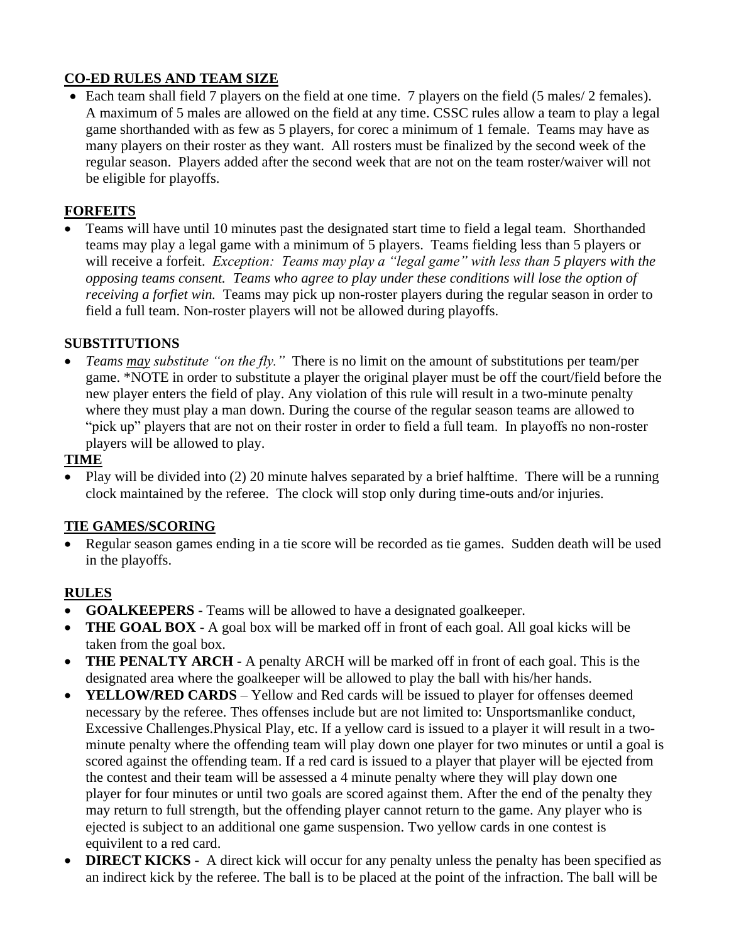# **CO-ED RULES AND TEAM SIZE**

• Each team shall field 7 players on the field at one time. 7 players on the field (5 males/ 2 females). A maximum of 5 males are allowed on the field at any time. CSSC rules allow a team to play a legal game shorthanded with as few as 5 players, for corec a minimum of 1 female. Teams may have as many players on their roster as they want. All rosters must be finalized by the second week of the regular season. Players added after the second week that are not on the team roster/waiver will not be eligible for playoffs.

# **FORFEITS**

• Teams will have until 10 minutes past the designated start time to field a legal team. Shorthanded teams may play a legal game with a minimum of 5 players. Teams fielding less than 5 players or will receive a forfeit. *Exception: Teams may play a "legal game" with less than 5 players with the opposing teams consent. Teams who agree to play under these conditions will lose the option of receiving a forfiet win.* Teams may pick up non-roster players during the regular season in order to field a full team. Non-roster players will not be allowed during playoffs.

# **SUBSTITUTIONS**

• *Teams may substitute "on the fly."* There is no limit on the amount of substitutions per team/per game. \*NOTE in order to substitute a player the original player must be off the court/field before the new player enters the field of play. Any violation of this rule will result in a two-minute penalty where they must play a man down. During the course of the regular season teams are allowed to "pick up" players that are not on their roster in order to field a full team. In playoffs no non-roster players will be allowed to play.

# **TIME**

• Play will be divided into (2) 20 minute halves separated by a brief halftime. There will be a running clock maintained by the referee. The clock will stop only during time-outs and/or injuries.

# **TIE GAMES/SCORING**

• Regular season games ending in a tie score will be recorded as tie games. Sudden death will be used in the playoffs.

# **RULES**

- **GOALKEEPERS -** Teams will be allowed to have a designated goalkeeper.
- **THE GOAL BOX** A goal box will be marked off in front of each goal. All goal kicks will be taken from the goal box.
- **THE PENALTY ARCH -** A penalty ARCH will be marked off in front of each goal. This is the designated area where the goalkeeper will be allowed to play the ball with his/her hands.
- **YELLOW/RED CARDS** Yellow and Red cards will be issued to player for offenses deemed necessary by the referee. Thes offenses include but are not limited to: Unsportsmanlike conduct, Excessive Challenges.Physical Play, etc. If a yellow card is issued to a player it will result in a twominute penalty where the offending team will play down one player for two minutes or until a goal is scored against the offending team. If a red card is issued to a player that player will be ejected from the contest and their team will be assessed a 4 minute penalty where they will play down one player for four minutes or until two goals are scored against them. After the end of the penalty they may return to full strength, but the offending player cannot return to the game. Any player who is ejected is subject to an additional one game suspension. Two yellow cards in one contest is equivilent to a red card.
- **DIRECT KICKS** A direct kick will occur for any penalty unless the penalty has been specified as an indirect kick by the referee. The ball is to be placed at the point of the infraction. The ball will be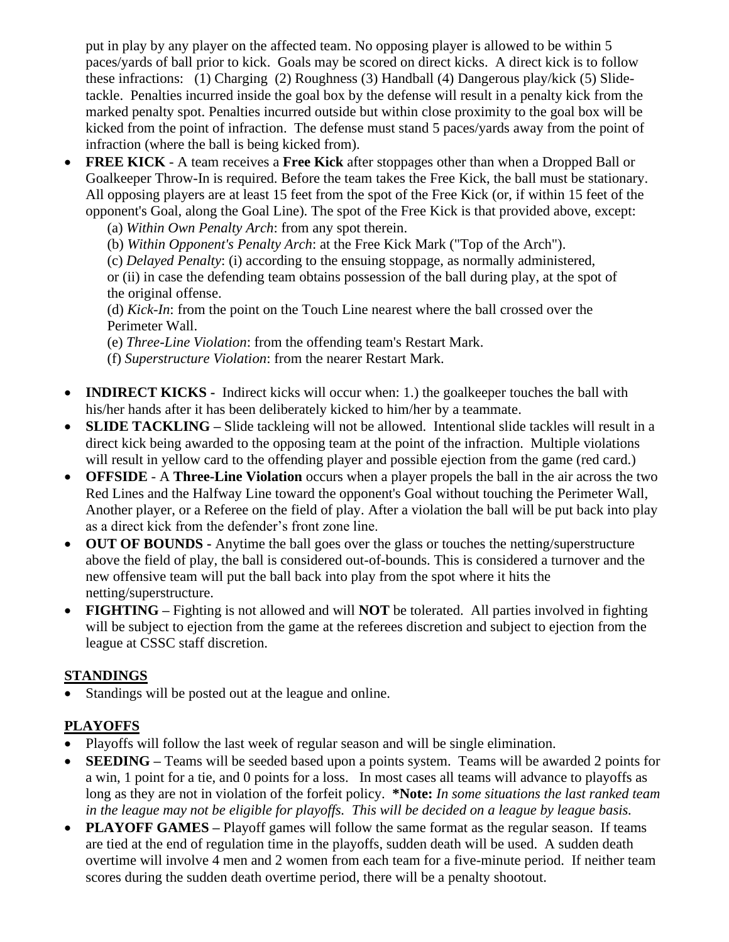put in play by any player on the affected team. No opposing player is allowed to be within 5 paces/yards of ball prior to kick. Goals may be scored on direct kicks. A direct kick is to follow these infractions: (1) Charging (2) Roughness (3) Handball (4) Dangerous play/kick (5) Slidetackle. Penalties incurred inside the goal box by the defense will result in a penalty kick from the marked penalty spot. Penalties incurred outside but within close proximity to the goal box will be kicked from the point of infraction. The defense must stand 5 paces/yards away from the point of infraction (where the ball is being kicked from).

- **FREE KICK** A team receives a **Free Kick** after stoppages other than when a Dropped Ball or Goalkeeper Throw-In is required. Before the team takes the Free Kick, the ball must be stationary. All opposing players are at least 15 feet from the spot of the Free Kick (or, if within 15 feet of the opponent's Goal, along the Goal Line). The spot of the Free Kick is that provided above, except:
	- (a) *Within Own Penalty Arch*: from any spot therein.
	- (b) *Within Opponent's Penalty Arch*: at the Free Kick Mark ("Top of the Arch").

(c) *Delayed Penalty*: (i) according to the ensuing stoppage, as normally administered, or (ii) in case the defending team obtains possession of the ball during play, at the spot of

the original offense.

(d) *Kick-In*: from the point on the Touch Line nearest where the ball crossed over the Perimeter Wall.

- (e) *Three-Line Violation*: from the offending team's Restart Mark.
- (f) *Superstructure Violation*: from the nearer Restart Mark.
- **INDIRECT KICKS** Indirect kicks will occur when: 1.) the goalkeeper touches the ball with his/her hands after it has been deliberately kicked to him/her by a teammate.
- **SLIDE TACKLING –** Slide tackleing will not be allowed. Intentional slide tackles will result in a direct kick being awarded to the opposing team at the point of the infraction. Multiple violations will result in yellow card to the offending player and possible ejection from the game (red card.)
- **OFFSIDE** A **Three-Line Violation** occurs when a player propels the ball in the air across the two Red Lines and the Halfway Line toward the opponent's Goal without touching the Perimeter Wall, Another player, or a Referee on the field of play. After a violation the ball will be put back into play as a direct kick from the defender's front zone line.
- **OUT OF BOUNDS -** Anytime the ball goes over the glass or touches the netting/superstructure above the field of play, the ball is considered out-of-bounds. This is considered a turnover and the new offensive team will put the ball back into play from the spot where it hits the netting/superstructure.
- **FIGHTING** Fighting is not allowed and will **NOT** be tolerated. All parties involved in fighting will be subject to ejection from the game at the referees discretion and subject to ejection from the league at CSSC staff discretion.

# **STANDINGS**

Standings will be posted out at the league and online.

# **PLAYOFFS**

- Playoffs will follow the last week of regular season and will be single elimination.
- **SEEDING –** Teams will be seeded based upon a points system. Teams will be awarded 2 points for a win, 1 point for a tie, and 0 points for a loss. In most cases all teams will advance to playoffs as long as they are not in violation of the forfeit policy. **\*Note:** *In some situations the last ranked team in the league may not be eligible for playoffs. This will be decided on a league by league basis.*
- **PLAYOFF GAMES** Playoff games will follow the same format as the regular season. If teams are tied at the end of regulation time in the playoffs, sudden death will be used. A sudden death overtime will involve 4 men and 2 women from each team for a five-minute period. If neither team scores during the sudden death overtime period, there will be a penalty shootout.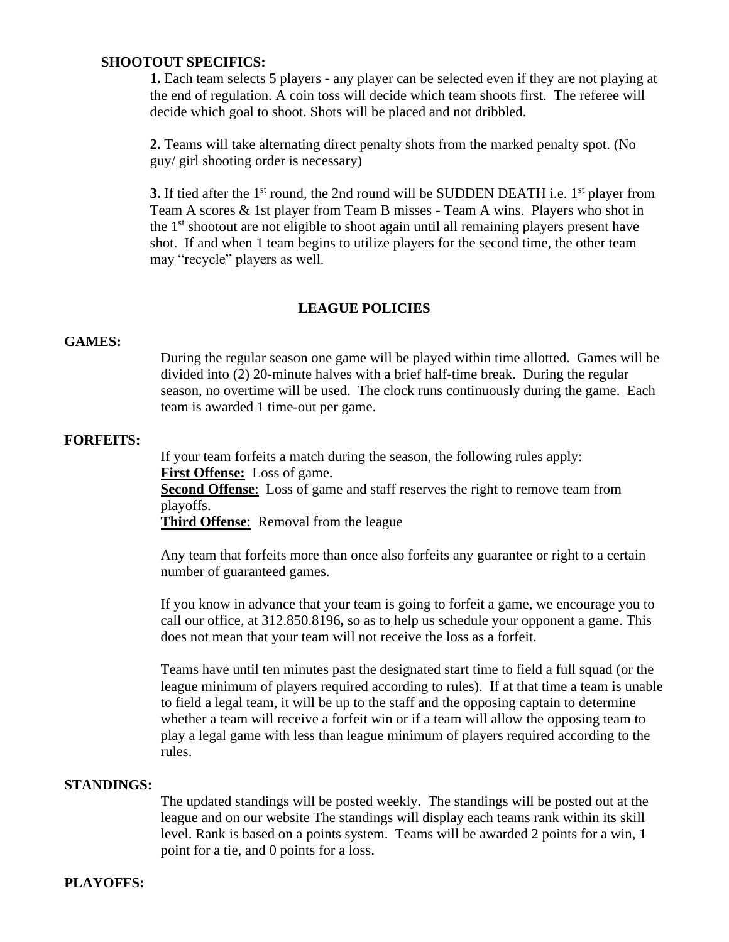#### **SHOOTOUT SPECIFICS:**

**1.** Each team selects 5 players - any player can be selected even if they are not playing at the end of regulation. A coin toss will decide which team shoots first. The referee will decide which goal to shoot. Shots will be placed and not dribbled.

**2.** Teams will take alternating direct penalty shots from the marked penalty spot. (No guy/ girl shooting order is necessary)

**3.** If tied after the 1<sup>st</sup> round, the 2nd round will be SUDDEN DEATH i.e. 1<sup>st</sup> player from Team A scores & 1st player from Team B misses - Team A wins. Players who shot in the  $1<sup>st</sup>$  shootout are not eligible to shoot again until all remaining players present have shot. If and when 1 team begins to utilize players for the second time, the other team may "recycle" players as well.

#### **LEAGUE POLICIES**

#### **GAMES:**

During the regular season one game will be played within time allotted. Games will be divided into (2) 20-minute halves with a brief half-time break. During the regular season, no overtime will be used. The clock runs continuously during the game. Each team is awarded 1 time-out per game.

#### **FORFEITS:**

If your team forfeits a match during the season, the following rules apply: **First Offense:** Loss of game. **Second Offense**: Loss of game and staff reserves the right to remove team from playoffs. **Third Offense**: Removal from the league

Any team that forfeits more than once also forfeits any guarantee or right to a certain number of guaranteed games.

If you know in advance that your team is going to forfeit a game, we encourage you to call our office, at 312.850.8196**,** so as to help us schedule your opponent a game. This does not mean that your team will not receive the loss as a forfeit.

Teams have until ten minutes past the designated start time to field a full squad (or the league minimum of players required according to rules). If at that time a team is unable to field a legal team, it will be up to the staff and the opposing captain to determine whether a team will receive a forfeit win or if a team will allow the opposing team to play a legal game with less than league minimum of players required according to the rules.

#### **STANDINGS:**

The updated standings will be posted weekly. The standings will be posted out at the league and on our website The standings will display each teams rank within its skill level. Rank is based on a points system. Teams will be awarded 2 points for a win, 1 point for a tie, and 0 points for a loss.

#### **PLAYOFFS:**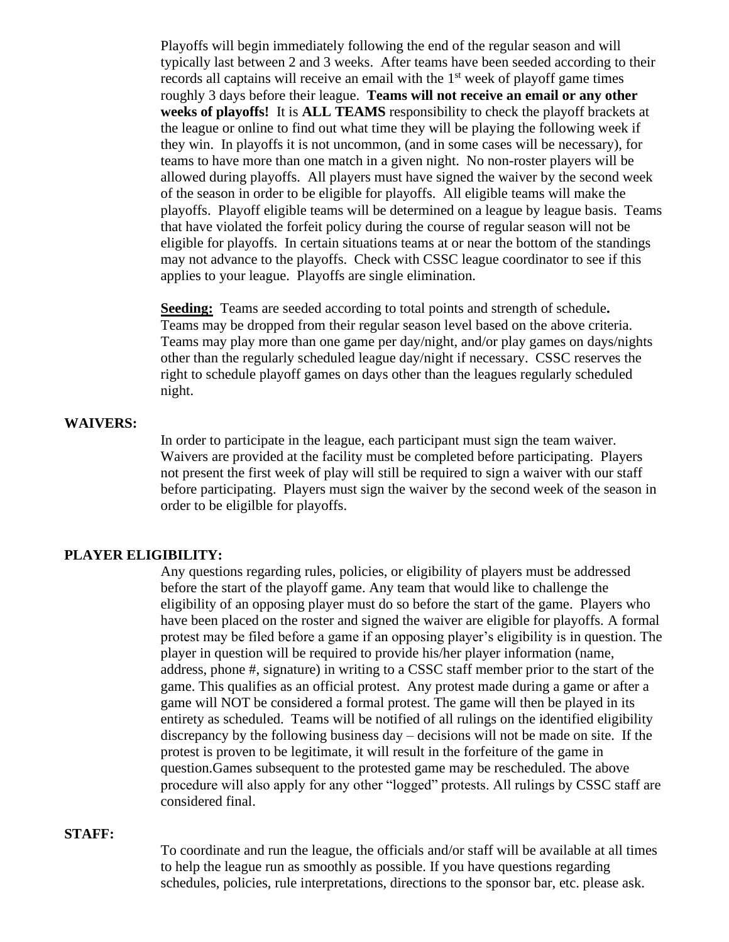Playoffs will begin immediately following the end of the regular season and will typically last between 2 and 3 weeks. After teams have been seeded according to their records all captains will receive an email with the  $1<sup>st</sup>$  week of playoff game times roughly 3 days before their league. **Teams will not receive an email or any other weeks of playoffs!** It is **ALL TEAMS** responsibility to check the playoff brackets at the league or online to find out what time they will be playing the following week if they win. In playoffs it is not uncommon, (and in some cases will be necessary), for teams to have more than one match in a given night. No non-roster players will be allowed during playoffs. All players must have signed the waiver by the second week of the season in order to be eligible for playoffs. All eligible teams will make the playoffs. Playoff eligible teams will be determined on a league by league basis. Teams that have violated the forfeit policy during the course of regular season will not be eligible for playoffs. In certain situations teams at or near the bottom of the standings may not advance to the playoffs. Check with CSSC league coordinator to see if this applies to your league. Playoffs are single elimination.

**Seeding:** Teams are seeded according to total points and strength of schedule**.** Teams may be dropped from their regular season level based on the above criteria. Teams may play more than one game per day/night, and/or play games on days/nights other than the regularly scheduled league day/night if necessary. CSSC reserves the right to schedule playoff games on days other than the leagues regularly scheduled night.

#### **WAIVERS:**

In order to participate in the league, each participant must sign the team waiver. Waivers are provided at the facility must be completed before participating. Players not present the first week of play will still be required to sign a waiver with our staff before participating. Players must sign the waiver by the second week of the season in order to be eligilble for playoffs.

#### **PLAYER ELIGIBILITY:**

Any questions regarding rules, policies, or eligibility of players must be addressed before the start of the playoff game. Any team that would like to challenge the eligibility of an opposing player must do so before the start of the game. Players who have been placed on the roster and signed the waiver are eligible for playoffs. A formal protest may be filed before a game if an opposing player's eligibility is in question. The player in question will be required to provide his/her player information (name, address, phone #, signature) in writing to a CSSC staff member prior to the start of the game. This qualifies as an official protest. Any protest made during a game or after a game will NOT be considered a formal protest. The game will then be played in its entirety as scheduled. Teams will be notified of all rulings on the identified eligibility discrepancy by the following business day – decisions will not be made on site. If the protest is proven to be legitimate, it will result in the forfeiture of the game in question.Games subsequent to the protested game may be rescheduled. The above procedure will also apply for any other "logged" protests. All rulings by CSSC staff are considered final.

#### **STAFF:**

To coordinate and run the league, the officials and/or staff will be available at all times to help the league run as smoothly as possible. If you have questions regarding schedules, policies, rule interpretations, directions to the sponsor bar, etc. please ask.